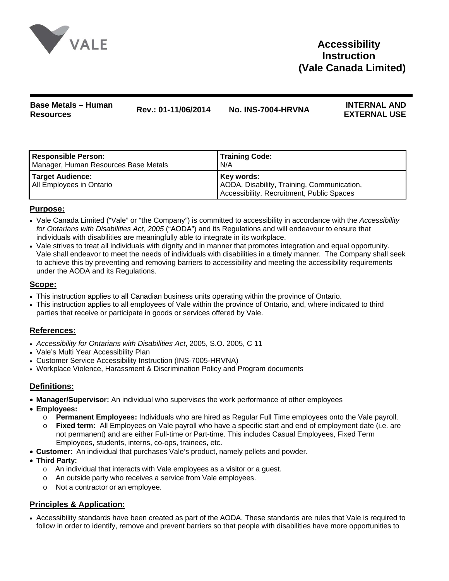

# **Accessibility Instruction (Vale Canada Limited)**

# **Base Metals – Human Resources Rev.: 01-11/06/2014 No. INS-7004-HRVNA INTERNAL AND**

# **EXTERNAL USE**

| Responsible Person:                          | <b>Training Code:</b>                                                                                 |
|----------------------------------------------|-------------------------------------------------------------------------------------------------------|
| Manager, Human Resources Base Metals         | N/A                                                                                                   |
| Target Audience:<br>All Employees in Ontario | Key words:<br>AODA, Disability, Training, Communication,<br>Accessibility, Recruitment, Public Spaces |

# **Purpose:**

- Vale Canada Limited ("Vale" or "the Company") is committed to accessibility in accordance with the *Accessibility for Ontarians with Disabilities Act, 2005* ("AODA") and its Regulations and will endeavour to ensure that individuals with disabilities are meaningfully able to integrate in its workplace.
- Vale strives to treat all individuals with dignity and in manner that promotes integration and equal opportunity. Vale shall endeavor to meet the needs of individuals with disabilities in a timely manner. The Company shall seek to achieve this by preventing and removing barriers to accessibility and meeting the accessibility requirements under the AODA and its Regulations.

#### **Scope:**

- This instruction applies to all Canadian business units operating within the province of Ontario.
- This instruction applies to all employees of Vale within the province of Ontario, and, where indicated to third parties that receive or participate in goods or services offered by Vale.

# **References:**

- *Accessibility for Ontarians with Disabilities Act*, 2005, S.O. 2005, C 11
- Vale's Multi Year Accessibility Plan
- Customer Service Accessibility Instruction (INS-7005-HRVNA)
- Workplace Violence, Harassment & Discrimination Policy and Program documents

# **Definitions:**

- **Manager/Supervisor:** An individual who supervises the work performance of other employees
- **Employees:**
	- o **Permanent Employees:** Individuals who are hired as Regular Full Time employees onto the Vale payroll.
	- o **Fixed term:** All Employees on Vale payroll who have a specific start and end of employment date (i.e. are not permanent) and are either Full-time or Part-time. This includes Casual Employees, Fixed Term Employees, students, interns, co-ops, trainees, etc.
- **Customer:** An individual that purchases Vale's product, namely pellets and powder.
- **Third Party:** 
	- o An individual that interacts with Vale employees as a visitor or a guest.
	- o An outside party who receives a service from Vale employees.
	- o Not a contractor or an employee.

# **Principles & Application:**

• Accessibility standards have been created as part of the AODA. These standards are rules that Vale is required to follow in order to identify, remove and prevent barriers so that people with disabilities have more opportunities to